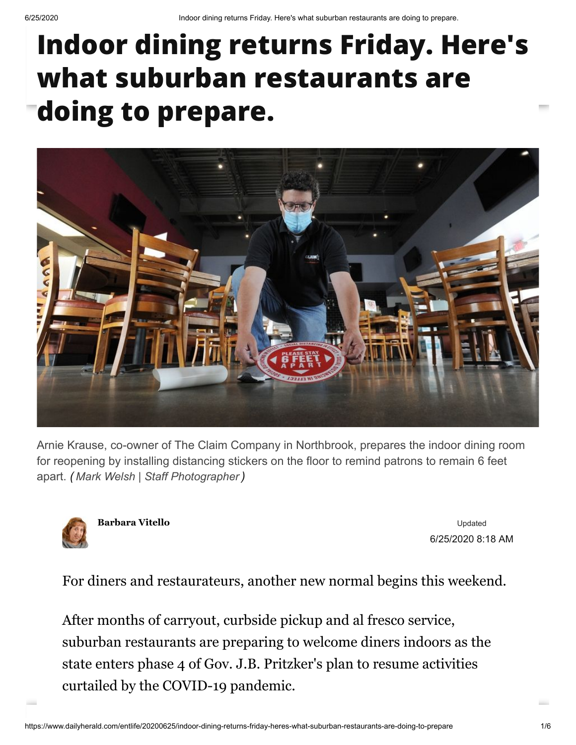## **Indoor dining returns Friday. Here's what suburban restaurants are doing to prepare.**



Arnie Krause, co-owner of The Claim Company in Northbrook, prepares the indoor dining room for reopening by installing distancing stickers on the floor to remind patrons to remain 6 feet apart. *( Mark Welsh | Staff Photographer )*



**[Barbara Vitello](https://www.dailyherald.com/newsroom/BarbaraVitello/)**

Updated 6/25/2020 8:18 AM

For diners and restaurateurs, another new normal begins this weekend.

After months of carryout, curbside pickup and al fresco service, suburban restaurants are preparing to welcome diners indoors as the state enters phase 4 of Gov. J.B. Pritzker's plan to resume activities curtailed by the COVID-19 pandemic.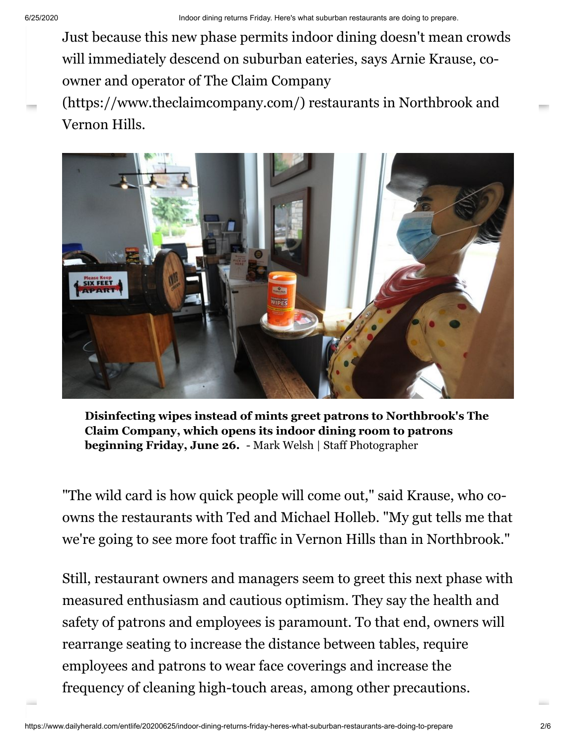will immediately descend on suburban eateries, says Arnie Krause, co-Just because this new phase permits indoor dining doesn't mean crowds [owner and operator of The Claim Company](https://www.theclaimcompany.com/)

(https://www.theclaimcompany.com/) restaurants in Northbrook and Vernon Hills.



**Disinfecting wipes instead of mints greet patrons to Northbrook's The Claim Company, which opens its indoor dining room to patrons beginning Friday, June 26.** - Mark Welsh | Staff Photographer

"The wild card is how quick people will come out," said Krause, who coowns the restaurants with Ted and Michael Holleb. "My gut tells me that we're going to see more foot traffic in Vernon Hills than in Northbrook."

Still, restaurant owners and managers seem to greet this next phase with measured enthusiasm and cautious optimism. They say the health and safety of patrons and employees is paramount. To that end, owners will rearrange seating to increase the distance between tables, require employees and patrons to wear face coverings and increase the frequency of cleaning high-touch areas, among other precautions.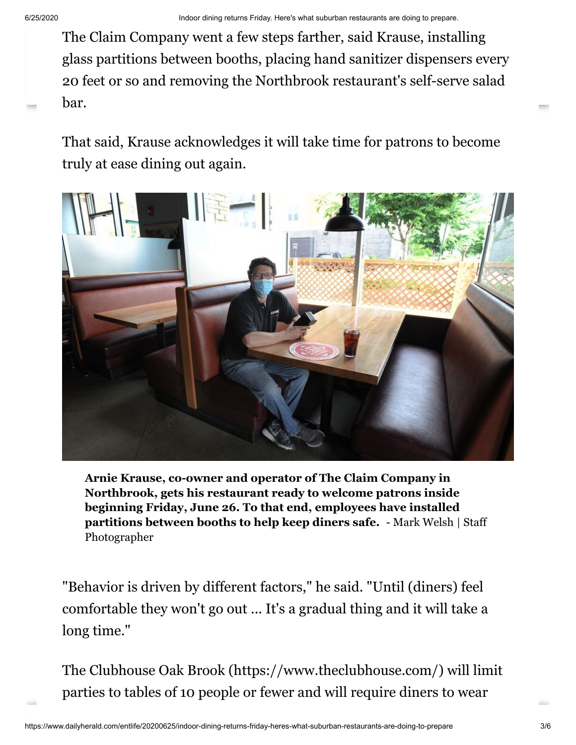glass partitions between booths, placing hand sanitizer dispensers every The Claim Company went a few steps farther, said Krause, installing 20 feet or so and removing the Northbrook restaurant's self-serve salad bar.

That said, Krause acknowledges it will take time for patrons to become truly at ease dining out again.



**Arnie Krause, co-owner and operator of The Claim Company in Northbrook, gets his restaurant ready to welcome patrons inside beginning Friday, June 26. To that end, employees have installed partitions between booths to help keep diners safe.** - Mark Welsh | Staff Photographer

"Behavior is driven by different factors," he said. "Until (diners) feel comfortable they won't go out ... It's a gradual thing and it will take a long time."

[The Clubhouse Oak Brook \(https://www.theclubhouse.com/\)](https://www.theclubhouse.com/) will limit parties to tables of 10 people or fewer and will require diners to wear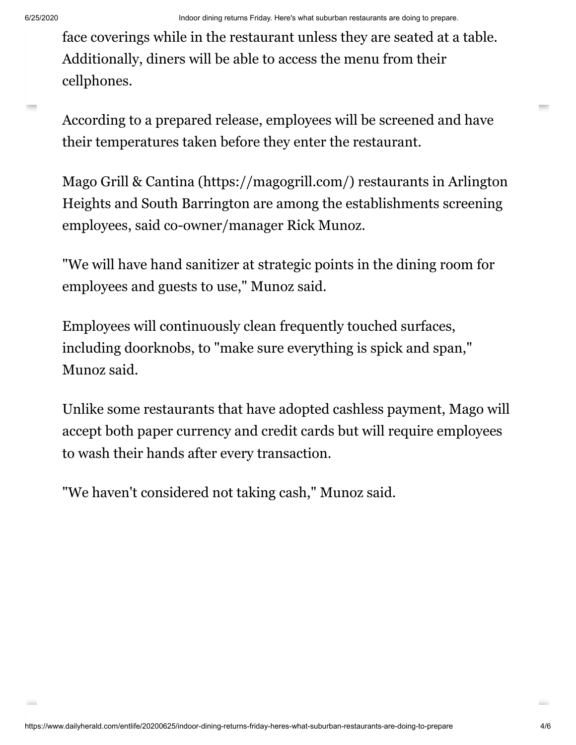Additionally, diners will be able to access the menu from their face coverings while in the restaurant unless they are seated at a table. cellphones.

According to a prepared release, employees will be screened and have their temperatures taken before they enter the restaurant.

[Mago Grill & Cantina \(https://magogrill.com/\)](https://magogrill.com/) restaurants in Arlington Heights and South Barrington are among the establishments screening employees, said co-owner/manager Rick Munoz.

"We will have hand sanitizer at strategic points in the dining room for employees and guests to use," Munoz said.

Employees will continuously clean frequently touched surfaces, including doorknobs, to "make sure everything is spick and span," Munoz said.

Unlike some restaurants that have adopted cashless payment, Mago will accept both paper currency and credit cards but will require employees to wash their hands after every transaction.

"We haven't considered not taking cash," Munoz said.

 $\sim$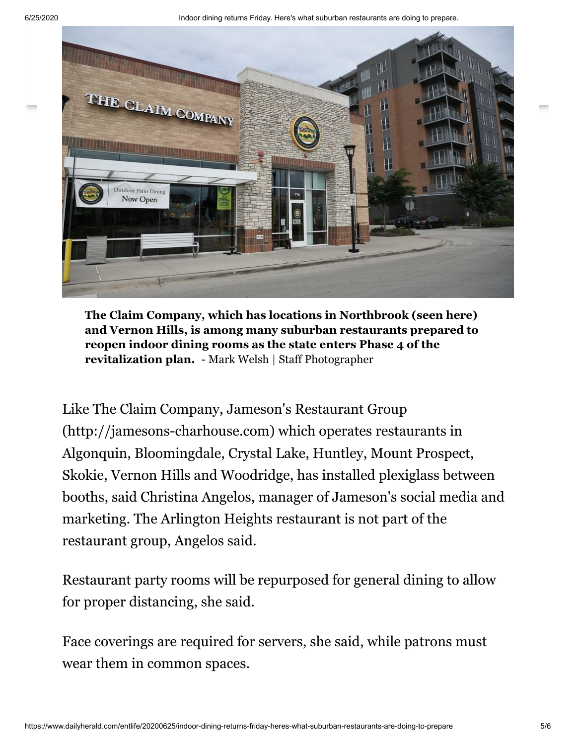6/25/2020 Indoor dining returns Friday. Here's what suburban restaurants are doing to prepare.



**The Claim Company, which has locations in Northbrook (seen here) and Vernon Hills, is among many suburban restaurants prepared to reopen indoor dining rooms as the state enters Phase 4 of the revitalization plan.** - Mark Welsh | Staff Photographer

[Like The Claim Company, Jameson's Restaurant Group](http://jamesons-charhouse.com/) (http://jamesons-charhouse.com) which operates restaurants in Algonquin, Bloomingdale, Crystal Lake, Huntley, Mount Prospect, Skokie, Vernon Hills and Woodridge, has installed plexiglass between booths, said Christina Angelos, manager of Jameson's social media and marketing. The Arlington Heights restaurant is not part of the restaurant group, Angelos said.

Restaurant party rooms will be repurposed for general dining to allow for proper distancing, she said.

Face coverings are required for servers, she said, while patrons must wear them in common spaces.